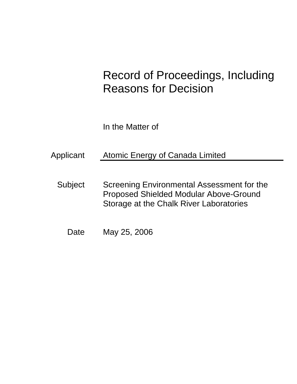# Record of Proceedings, Including Reasons for Decision

In the Matter of

Applicant Atomic Energy of Canada Limited

Subject Screening Environmental Assessment for the Proposed Shielded Modular Above-Ground Storage at the Chalk River Laboratories

Date May 25, 2006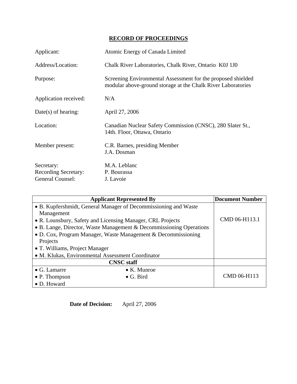## **RECORD OF PROCEEDINGS**

| Applicant:                                                    | Atomic Energy of Canada Limited                                                                                              |
|---------------------------------------------------------------|------------------------------------------------------------------------------------------------------------------------------|
| Address/Location:                                             | Chalk River Laboratories, Chalk River, Ontario K0J 1J0                                                                       |
| Purpose:                                                      | Screening Environmental Assessment for the proposed shielded<br>modular above-ground storage at the Chalk River Laboratories |
| Application received:                                         | N/A                                                                                                                          |
| $Date(s)$ of hearing:                                         | April 27, 2006                                                                                                               |
| Location:                                                     | Canadian Nuclear Safety Commission (CNSC), 280 Slater St.,<br>14th. Floor, Ottawa, Ontario                                   |
| Member present:                                               | C.R. Barnes, presiding Member<br>J.A. Dosman                                                                                 |
| Secretary:<br><b>Recording Secretary:</b><br>General Counsel: | M.A. Leblanc<br>P. Bourassa<br>J. Lavoie                                                                                     |

| <b>Applicant Represented By</b>                                     |                     | <b>Document Number</b> |
|---------------------------------------------------------------------|---------------------|------------------------|
| • B. Kupfershmidt, General Manager of Decommissioning and Waste     |                     |                        |
| Management                                                          |                     |                        |
| • R. Lounsbury, Safety and Licensing Manager, CRL Projects          |                     | CMD 06-H113.1          |
| • B. Lange, Director, Waste Management & Decommissioning Operations |                     |                        |
| • D. Cox, Program Manager, Waste Management & Decommissioning       |                     |                        |
| Projects                                                            |                     |                        |
| • T. Williams, Project Manager                                      |                     |                        |
| • M. Klukas, Environmental Assessment Coordinator                   |                     |                        |
| <b>CNSC</b> staff                                                   |                     |                        |
| $\bullet$ G. Lamarre                                                | $\bullet$ K. Munroe |                        |
| $\bullet$ P. Thompson                                               | $\bullet$ G. Bird   | CMD 06-H113            |
| • D. Howard                                                         |                     |                        |

**Date of Decision:** April 27, 2006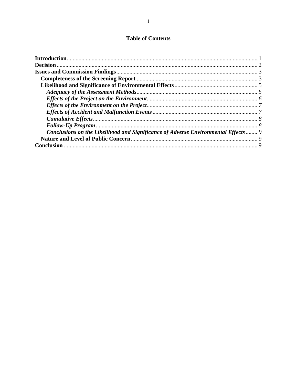## **Table of Contents**

| Conclusions on the Likelihood and Significance of Adverse Environmental Effects  9 |  |
|------------------------------------------------------------------------------------|--|
|                                                                                    |  |
|                                                                                    |  |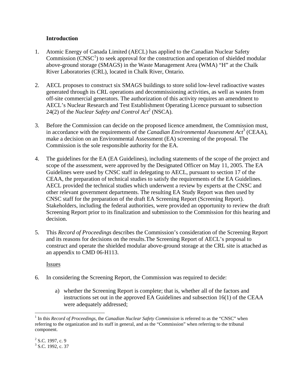#### **Introduction**

- 1. Atomic Energy of Canada Limited (AECL) has applied to the Canadian Nuclear Safety Commission  $\text{(CNSC}^1)$  to seek approval for the construction and operation of shielded modular above-ground storage (SMAGS) in the Waste Management Area (WMA) "H" at the Chalk River Laboratories (CRL), located in Chalk River, Ontario.
- 2. AECL proposes to construct six SMAGS buildings to store solid low-level radioactive wastes generated through its CRL operations and decommissioning activities, as well as wastes from off-site commercial generators. The authorization of this activity requires an amendment to AECL's Nuclear Research and Test Establishment Operating Licence pursuant to subsection 24(2) of the *Nuclear Safety and Control Act*<sup>2</sup> (NSCA).
- 3. Before the Commission can decide on the proposed licence amendment, the Commission must, in accordance with the requirements of the *Canadian Environmental Assessment Act*<sup>3</sup> (CEAA), make a decision on an Environmental Assessment (EA) screening of the proposal. The Commission is the sole responsible authority for the EA.
- 4. The guidelines for the EA (EA Guidelines), including statements of the scope of the project and scope of the assessment, were approved by the Designated Officer on May 11, 2005. The EA Guidelines were used by CNSC staff in delegating to AECL, pursuant to section 17 of the CEAA, the preparation of technical studies to satisfy the requirements of the EA Guidelines. AECL provided the technical studies which underwent a review by experts at the CNSC and other relevant government departments. The resulting EA Study Report was then used by CNSC staff for the preparation of the draft EA Screening Report (Screening Report). Stakeholders, including the federal authorities, were provided an opportunity to review the draft Screening Report prior to its finalization and submission to the Commission for this hearing and decision.
- 5. This *Record of Proceedings* describes the Commission's consideration of the Screening Report and its reasons for decisions on the results.The Screening Report of AECL's proposal to construct and operate the shielded modular above-ground storage at the CRL site is attached as an appendix to CMD 06-H113.

Issues

- 6. In considering the Screening Report, the Commission was required to decide:
	- a) whether the Screening Report is complete; that is, whether all of the factors and instructions set out in the approved EA Guidelines and subsection 16(1) of the CEAA were adequately addressed;

1

<sup>&</sup>lt;sup>1</sup> In this *Record of Proceedings*, the *Canadian Nuclear Safety Commission* is referred to as the "CNSC" when referring to the organization and its staff in general, and as the "Commission" when referring to the tribunal component.

 $2^2$  S.C. 1997, c. 9  $3$  S.C. 1992, c. 37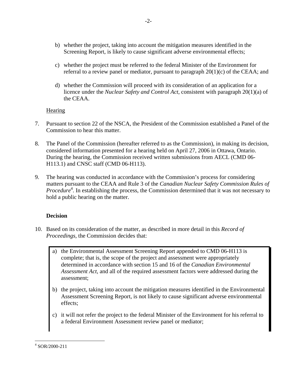- b) whether the project, taking into account the mitigation measures identified in the Screening Report, is likely to cause significant adverse environmental effects;
- c) whether the project must be referred to the federal Minister of the Environment for referral to a review panel or mediator, pursuant to paragraph 20(1)(c) of the CEAA; and
- d) whether the Commission will proceed with its consideration of an application for a licence under the *Nuclear Safety and Control Act*, consistent with paragraph 20(1)(a) of the CEAA.

### **Hearing**

- 7. Pursuant to section 22 of the NSCA, the President of the Commission established a Panel of the Commission to hear this matter.
- 8. The Panel of the Commission (hereafter referred to as the Commission), in making its decision, considered information presented for a hearing held on April 27, 2006 in Ottawa, Ontario. During the hearing, the Commission received written submissions from AECL (CMD 06- H113.1) and CNSC staff (CMD 06-H113).
- 9. The hearing was conducted in accordance with the Commission's process for considering matters pursuant to the CEAA and Rule 3 of the *Canadian Nuclear Safety Commission Rules of Procedure*<sup>4</sup>. In establishing the process, the Commission determined that it was not necessary to hold a public hearing on the matter.

## **Decision**

- 10. Based on its consideration of the matter, as described in more detail in this *Record of Proceedings,* the Commission decides that:
	- a) the Environmental Assessment Screening Report appended to CMD 06-H113 is complete; that is, the scope of the project and assessment were appropriately determined in accordance with section 15 and 16 of the *Canadian Environmental Assessment Act*, and all of the required assessment factors were addressed during the assessment;
	- b) the project, taking into account the mitigation measures identified in the Environmental Assessment Screening Report, is not likely to cause significant adverse environmental effects;
	- c) it will not refer the project to the federal Minister of the Environment for his referral to a federal Environment Assessment review panel or mediator;

 $\overline{a}$ 4 SOR/2000-211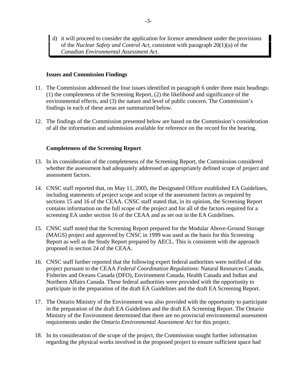d) it will proceed to consider the application for licence amendment under the provisions of the *Nuclear Safety and Control Act*, consistent with paragraph 20(1)(a) of the *Canadian Environmental Assessment Act*.

#### **Issues and Commission Findings**

- 11. The Commission addressed the four issues identified in paragraph 6 under three main headings: (1) the completeness of the Screening Report, (2) the likelihood and significance of the environmental effects, and (3) the nature and level of public concern. The Commission's findings in each of these areas are summarized below.
- 12. The findings of the Commission presented below are based on the Commission's consideration of all the information and submission available for reference on the record for the hearing.

#### **Completeness of the Screening Report**

- 13. In its consideration of the completeness of the Screening Report, the Commission considered whether the assessment had adequately addressed an appropriately defined scope of project and assessment factors.
- 14. CNSC staff reported that, on May 11, 2005, the Designated Officer established EA Guidelines, including statements of project scope and scope of the assessment factors as required by sections 15 and 16 of the CEAA. CNSC staff stated that, in its opinion, the Screening Report contains information on the full scope of the project and for all of the factors required for a screening EA under section 16 of the CEAA and as set out in the EA Guidelines.
- 15. CNSC staff noted that the Screening Report prepared for the Modular Above-Ground Storage (MAGS) project and approved by CNSC in 1999 was used as the basis for this Screening Report as well as the Study Report prepared by AECL. This is consistent with the approach proposed in section 24 of the CEAA.
- 16. CNSC staff further reported that the following expert federal authorities were notified of the project pursuant to the CEAA *Federal Coordination Regulations*: Natural Resources Canada, Fisheries and Oceans Canada (DFO), Environment Canada, Health Canada and Indian and Northern Affairs Canada. These federal authorities were provided with the opportunity to participate in the preparation of the draft EA Guidelines and the draft EA Screening Report.
- 17. The Ontario Ministry of the Environment was also provided with the opportunity to participate in the preparation of the draft EA Guidelines and the draft EA Screening Report. The Ontario Ministry of the Environment determined that there are no provincial environmental assessment requirements under the *Ontario Environmental Assessment Act* for this project.
- 18. In its consideration of the scope of the project, the Commission sought further information regarding the physical works involved in the proposed project to ensure sufficient space had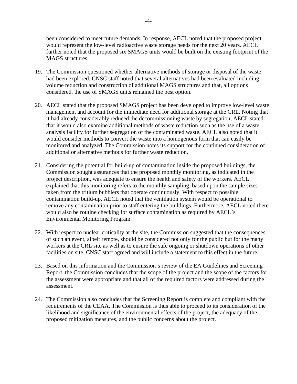been considered to meet future demands. In response, AECL noted that the proposed project would represent the low-level radioactive waste storage needs for the next 20 years. AECL further noted that the proposed six SMAGS units would be built on the existing footprint of the MAGS structures.

- 19. The Commission questioned whether alternative methods of storage or disposal of the waste had been explored. CNSC staff noted that several alternatives had been evaluated including volume reduction and construction of additional MAGS structures and that, all options considered, the use of SMAGS units remained the best option.
- 20. AECL stated that the proposed SMAGS project has been developed to improve low-level waste management and account for the immediate need for additional storage at the CRL. Noting that it had already considerably reduced the decommissioning waste by segregation, AECL stated that it would also examine additional methods of waste reduction such as the use of a waste analysis facility for further segregation of the contaminated waste. AECL also noted that it would consider methods to convert the waste into a homogenous form that can easily be monitored and analyzed. The Commission notes its support for the continued consideration of additional or alternative methods for further waste reduction.
- 21. Considering the potential for build-up of contamination inside the proposed buildings, the Commission sought assurances that the proposed monthly monitoring, as indicated in the project description, was adequate to ensure the health and safety of the workers. AECL explained that this monitoring refers to the monthly sampling, based upon the sample sizes taken from the tritium bubblers that operate continuously. With respect to possible contamination build-up, AECL noted that the ventilation system would be operational to remove any contamination prior to staff entering the buildings. Furthermore, AECL noted there would also be routine checking for surface contamination as required by AECL's Environmental Monitoring Program.
- 22. With respect to nuclear criticality at the site, the Commission suggested that the consequences of such an event, albeit remote, should be considered not only for the public but for the many workers at the CRL site as well as to ensure the safe ongoing or shutdown operations of other facilities on site. CNSC staff agreed and will include a statement to this effect in the future.
- 23. Based on this information and the Commission's review of the EA Guidelines and Screening Report, the Commission concludes that the scope of the project and the scope of the factors for the assessment were appropriate and that all of the required factors were addressed during the assessment.
- 24. The Commission also concludes that the Screening Report is complete and compliant with the requirements of the CEAA. The Commission is thus able to proceed to its consideration of the likelihood and significance of the environmental effects of the project, the adequacy of the proposed mitigation measures, and the public concerns about the project.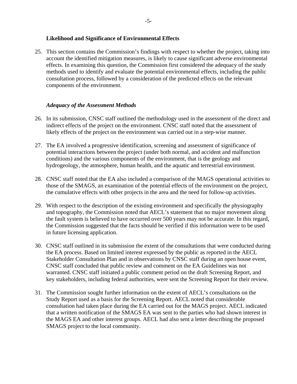#### **Likelihood and Significance of Environmental Effects**

25. This section contains the Commission's findings with respect to whether the project, taking into account the identified mitigation measures, is likely to cause significant adverse environmental effects. In examining this question, the Commission first considered the adequacy of the study methods used to identify and evaluate the potential environmental effects, including the public consultation process, followed by a consideration of the predicted effects on the relevant components of the environment.

#### *Adequacy of the Assessment Methods*

- 26. In its submission, CNSC staff outlined the methodology used in the assessment of the direct and indirect effects of the project on the environment. CNSC staff noted that the assessment of likely effects of the project on the environment was carried out in a step-wise manner.
- 27. The EA involved a progressive identification, screening and assessment of significance of potential interactions between the project (under both normal, and accident and malfunction conditions) and the various components of the environment, that is the geology and hydrogeology, the atmosphere, human health, and the aquatic and terrestrial environment.
- 28. CNSC staff noted that the EA also included a comparison of the MAGS operational activities to those of the SMAGS, an examination of the potential effects of the environment on the project, the cumulative effects with other projects in the area and the need for follow-up activities.
- 29. With respect to the description of the existing environment and specifically the physiography and topography, the Commission noted that AECL's statement that no major movement along the fault system is believed to have occurred over 500 years may not be accurate. In this regard, the Commission suggested that the facts should be verified if this information were to be used in future licensing application.
- 30. CNSC staff outlined in its submission the extent of the consultations that were conducted during the EA process. Based on limited interest expressed by the public as reported in the AECL Stakeholder Consultation Plan and in observations by CNSC staff during an open house event, CNSC staff concluded that public review and comment on the EA Guidelines was not warranted. CNSC staff initiated a public comment period on the draft Screening Report, and key stakeholders, including federal authorities, were sent the Screening Report for their review.
- 31. The Commission sought further information on the extent of AECL's consultations on the Study Report used as a basis for the Screening Report. AECL noted that considerable consultation had taken place during the EA carried out for the MAGS project. AECL indicated that a written notification of the SMAGS EA was sent to the parties who had shown interest in the MAGS EA and other interest groups. AECL had also sent a letter describing the proposed SMAGS project to the local community.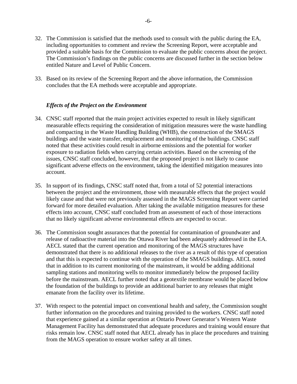- 32. The Commission is satisfied that the methods used to consult with the public during the EA, including opportunities to comment and review the Screening Report, were acceptable and provided a suitable basis for the Commission to evaluate the public concerns about the project. The Commission's findings on the public concerns are discussed further in the section below entitled Nature and Level of Public Concern.
- 33. Based on its review of the Screening Report and the above information, the Commission concludes that the EA methods were acceptable and appropriate.

#### *Effects of the Project on the Environment*

- 34. CNSC staff reported that the main project activities expected to result in likely significant measurable effects requiring the consideration of mitigation measures were the waste handling and compacting in the Waste Handling Building (WHB), the construction of the SMAGS buildings and the waste transfer, emplacement and monitoring of the buildings. CNSC staff noted that these activities could result in airborne emissions and the potential for worker exposure to radiation fields when carrying certain activities. Based on the screening of the issues, CNSC staff concluded, however, that the proposed project is not likely to cause significant adverse effects on the environment, taking the identified mitigation measures into account.
- 35. In support of its findings, CNSC staff noted that, from a total of 52 potential interactions between the project and the environment, those with measurable effects that the project would likely cause and that were not previously assessed in the MAGS Screening Report were carried forward for more detailed evaluation. After taking the available mitigation measures for these effects into account, CNSC staff concluded from an assessment of each of those interactions that no likely significant adverse environmental effects are expected to occur.
- 36. The Commission sought assurances that the potential for contamination of groundwater and release of radioactive material into the Ottawa River had been adequately addressed in the EA. AECL stated that the current operation and monitoring of the MAGS structures have demonstrated that there is no additional releases to the river as a result of this type of operation and that this is expected to continue with the operation of the SMAGS buildings. AECL noted that in addition to its current monitoring of the mainstream, it would be adding additional sampling stations and monitoring wells to monitor immediately below the proposed facility before the mainstream. AECL further noted that a geotextile membrane would be placed below the foundation of the buildings to provide an additional barrier to any releases that might emanate from the facility over its lifetime.
- 37. With respect to the potential impact on conventional health and safety, the Commission sought further information on the procedures and training provided to the workers. CNSC staff noted that experience gained at a similar operation at Ontario Power Generator's Western Waste Management Facility has demonstrated that adequate procedures and training would ensure that risks remain low. CNSC staff noted that AECL already has in place the procedures and training from the MAGS operation to ensure worker safety at all times.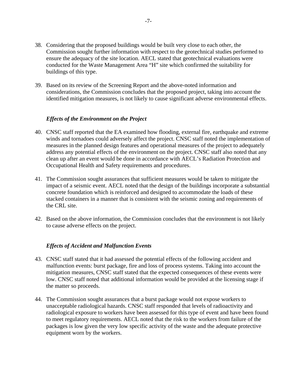- 38. Considering that the proposed buildings would be built very close to each other, the Commission sought further information with respect to the geotechnical studies performed to ensure the adequacy of the site location. AECL stated that geotechnical evaluations were conducted for the Waste Management Area "H" site which confirmed the suitability for buildings of this type.
- 39. Based on its review of the Screening Report and the above-noted information and considerations, the Commission concludes that the proposed project, taking into account the identified mitigation measures, is not likely to cause significant adverse environmental effects.

#### *Effects of the Environment on the Project*

- 40. CNSC staff reported that the EA examined how flooding, external fire, earthquake and extreme winds and tornadoes could adversely affect the project. CNSC staff noted the implementation of measures in the planned design features and operational measures of the project to adequately address any potential effects of the environment on the project. CNSC staff also noted that any clean up after an event would be done in accordance with AECL's Radiation Protection and Occupational Health and Safety requirements and procedures.
- 41. The Commission sought assurances that sufficient measures would be taken to mitigate the impact of a seismic event. AECL noted that the design of the buildings incorporate a substantial concrete foundation which is reinforced and designed to accommodate the loads of these stacked containers in a manner that is consistent with the seismic zoning and requirements of the CRL site.
- 42. Based on the above information, the Commission concludes that the environment is not likely to cause adverse effects on the project.

#### *Effects of Accident and Malfunction Events*

- 43. CNSC staff stated that it had assessed the potential effects of the following accident and malfunction events: burst package, fire and loss of process systems. Taking into account the mitigation measures, CNSC staff stated that the expected consequences of these events were low. CNSC staff noted that additional information would be provided at the licensing stage if the matter so proceeds.
- 44. The Commission sought assurances that a burst package would not expose workers to unacceptable radiological hazards. CNSC staff responded that levels of radioactivity and radiological exposure to workers have been assessed for this type of event and have been found to meet regulatory requirements. AECL noted that the risk to the workers from failure of the packages is low given the very low specific activity of the waste and the adequate protective equipment worn by the workers.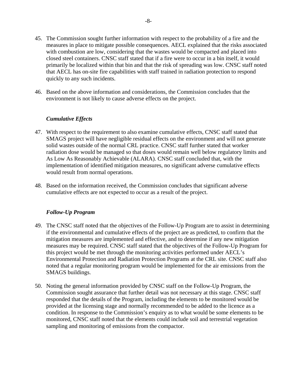- 45. The Commission sought further information with respect to the probability of a fire and the measures in place to mitigate possible consequences. AECL explained that the risks associated with combustion are low, considering that the wastes would be compacted and placed into closed steel containers. CNSC staff stated that if a fire were to occur in a bin itself, it would primarily be localized within that bin and that the risk of spreading was low. CNSC staff noted that AECL has on-site fire capabilities with staff trained in radiation protection to respond quickly to any such incidents.
- 46. Based on the above information and considerations, the Commission concludes that the environment is not likely to cause adverse effects on the project.

#### *Cumulative Effects*

- 47. With respect to the requirement to also examine cumulative effects, CNSC staff stated that SMAGS project will have negligible residual effects on the environment and will not generate solid wastes outside of the normal CRL practice. CNSC staff further stated that worker radiation dose would be managed so that doses would remain well below regulatory limits and As Low As Reasonably Achievable (ALARA). CNSC staff concluded that, with the implementation of identified mitigation measures, no significant adverse cumulative effects would result from normal operations.
- 48. Based on the information received, the Commission concludes that significant adverse cumulative effects are not expected to occur as a result of the project.

#### *Follow-Up Program*

- 49. The CNSC staff noted that the objectives of the Follow-Up Program are to assist in determining if the environmental and cumulative effects of the project are as predicted, to confirm that the mitigation measures are implemented and effective, and to determine if any new mitigation measures may be required. CNSC staff stated that the objectives of the Follow-Up Program for this project would be met through the monitoring activities performed under AECL's Environmental Protection and Radiation Protection Programs at the CRL site. CNSC staff also noted that a regular monitoring program would be implemented for the air emissions from the SMAGS buildings.
- 50. Noting the general information provided by CNSC staff on the Follow-Up Program, the Commission sought assurance that further detail was not necessary at this stage. CNSC staff responded that the details of the Program, including the elements to be monitored would be provided at the licensing stage and normally recommended to be added to the licence as a condition. In response to the Commission's enquiry as to what would be some elements to be monitored, CNSC staff noted that the elements could include soil and terrestrial vegetation sampling and monitoring of emissions from the compactor.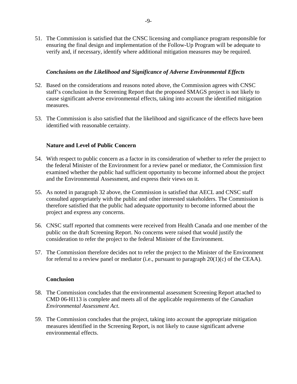51. The Commission is satisfied that the CNSC licensing and compliance program responsible for ensuring the final design and implementation of the Follow-Up Program will be adequate to verify and, if necessary, identify where additional mitigation measures may be required.

#### *Conclusions on the Likelihood and Significance of Adverse Environmental Effects*

- 52. Based on the considerations and reasons noted above, the Commission agrees with CNSC staff's conclusion in the Screening Report that the proposed SMAGS project is not likely to cause significant adverse environmental effects, taking into account the identified mitigation measures.
- 53. The Commission is also satisfied that the likelihood and significance of the effects have been identified with reasonable certainty.

#### **Nature and Level of Public Concern**

- 54. With respect to public concern as a factor in its consideration of whether to refer the project to the federal Minister of the Environment for a review panel or mediator, the Commission first examined whether the public had sufficient opportunity to become informed about the project and the Environmental Assessment, and express their views on it.
- 55. As noted in paragraph 32 above, the Commission is satisfied that AECL and CNSC staff consulted appropriately with the public and other interested stakeholders. The Commission is therefore satisfied that the public had adequate opportunity to become informed about the project and express any concerns.
- 56. CNSC staff reported that comments were received from Health Canada and one member of the public on the draft Screening Report. No concerns were raised that would justify the consideration to refer the project to the federal Minister of the Environment.
- 57. The Commission therefore decides not to refer the project to the Minister of the Environment for referral to a review panel or mediator (i.e., pursuant to paragraph  $20(1)(c)$  of the CEAA).

#### **Conclusion**

- 58. The Commission concludes that the environmental assessment Screening Report attached to CMD 06-H113 is complete and meets all of the applicable requirements of the *Canadian Environmental Assessment Act*.
- 59. The Commission concludes that the project, taking into account the appropriate mitigation measures identified in the Screening Report, is not likely to cause significant adverse environmental effects.